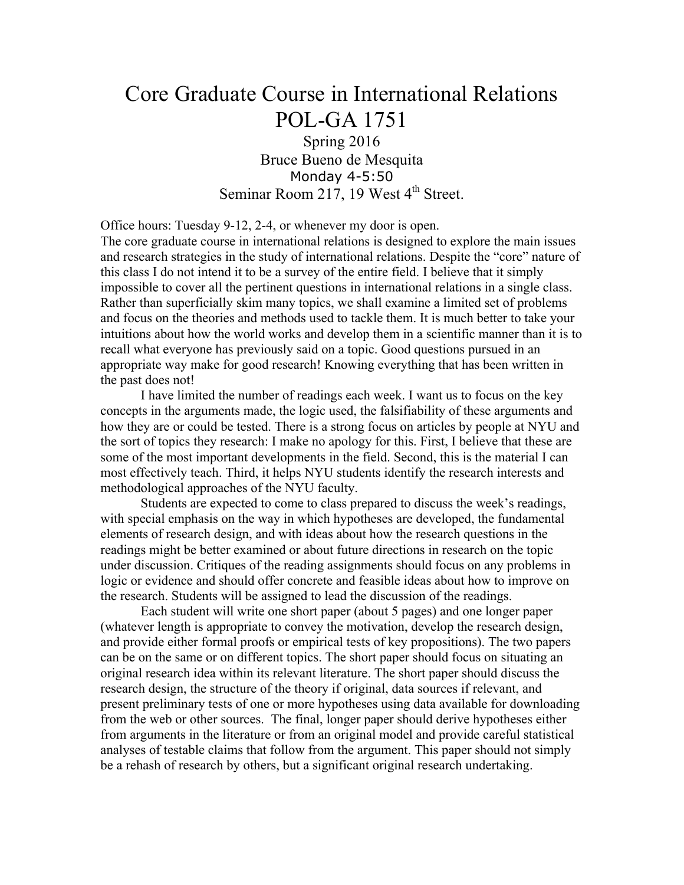# Core Graduate Course in International Relations POL-GA 1751 Spring 2016

Bruce Bueno de Mesquita Monday 4-5:50 Seminar Room 217, 19 West  $4<sup>th</sup>$  Street.

Office hours: Tuesday 9-12, 2-4, or whenever my door is open.

The core graduate course in international relations is designed to explore the main issues and research strategies in the study of international relations. Despite the "core" nature of this class I do not intend it to be a survey of the entire field. I believe that it simply impossible to cover all the pertinent questions in international relations in a single class. Rather than superficially skim many topics, we shall examine a limited set of problems and focus on the theories and methods used to tackle them. It is much better to take your intuitions about how the world works and develop them in a scientific manner than it is to recall what everyone has previously said on a topic. Good questions pursued in an appropriate way make for good research! Knowing everything that has been written in the past does not!

I have limited the number of readings each week. I want us to focus on the key concepts in the arguments made, the logic used, the falsifiability of these arguments and how they are or could be tested. There is a strong focus on articles by people at NYU and the sort of topics they research: I make no apology for this. First, I believe that these are some of the most important developments in the field. Second, this is the material I can most effectively teach. Third, it helps NYU students identify the research interests and methodological approaches of the NYU faculty.

Students are expected to come to class prepared to discuss the week's readings, with special emphasis on the way in which hypotheses are developed, the fundamental elements of research design, and with ideas about how the research questions in the readings might be better examined or about future directions in research on the topic under discussion. Critiques of the reading assignments should focus on any problems in logic or evidence and should offer concrete and feasible ideas about how to improve on the research. Students will be assigned to lead the discussion of the readings.

Each student will write one short paper (about 5 pages) and one longer paper (whatever length is appropriate to convey the motivation, develop the research design, and provide either formal proofs or empirical tests of key propositions). The two papers can be on the same or on different topics. The short paper should focus on situating an original research idea within its relevant literature. The short paper should discuss the research design, the structure of the theory if original, data sources if relevant, and present preliminary tests of one or more hypotheses using data available for downloading from the web or other sources. The final, longer paper should derive hypotheses either from arguments in the literature or from an original model and provide careful statistical analyses of testable claims that follow from the argument. This paper should not simply be a rehash of research by others, but a significant original research undertaking.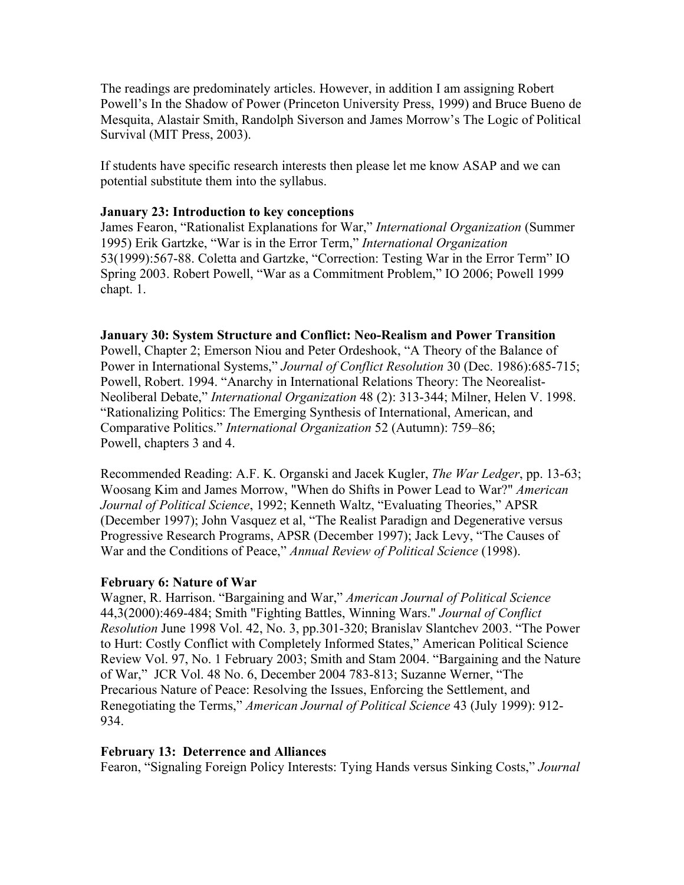The readings are predominately articles. However, in addition I am assigning Robert Powell's In the Shadow of Power (Princeton University Press, 1999) and Bruce Bueno de Mesquita, Alastair Smith, Randolph Siverson and James Morrow's The Logic of Political Survival (MIT Press, 2003).

If students have specific research interests then please let me know ASAP and we can potential substitute them into the syllabus.

#### **January 23: Introduction to key conceptions**

James Fearon, "Rationalist Explanations for War," *International Organization* (Summer 1995) Erik Gartzke, "War is in the Error Term," *International Organization* 53(1999):567-88. Coletta and Gartzke, "Correction: Testing War in the Error Term" IO Spring 2003. Robert Powell, "War as a Commitment Problem," IO 2006; Powell 1999 chapt. 1.

#### **January 30: System Structure and Conflict: Neo-Realism and Power Transition**

Powell, Chapter 2; Emerson Niou and Peter Ordeshook, "A Theory of the Balance of Power in International Systems," *Journal of Conflict Resolution* 30 (Dec. 1986):685-715; Powell, Robert. 1994. "Anarchy in International Relations Theory: The Neorealist-Neoliberal Debate," *International Organization* 48 (2): 313-344; Milner, Helen V. 1998. "Rationalizing Politics: The Emerging Synthesis of International, American, and Comparative Politics." *International Organization* 52 (Autumn): 759–86; Powell, chapters 3 and 4.

Recommended Reading: A.F. K. Organski and Jacek Kugler, *The War Ledger*, pp. 13-63; Woosang Kim and James Morrow, "When do Shifts in Power Lead to War?" *American Journal of Political Science*, 1992; Kenneth Waltz, "Evaluating Theories," APSR (December 1997); John Vasquez et al, "The Realist Paradign and Degenerative versus Progressive Research Programs, APSR (December 1997); Jack Levy, "The Causes of War and the Conditions of Peace," *Annual Review of Political Science* (1998).

#### **February 6: Nature of War**

Wagner, R. Harrison. "Bargaining and War," *American Journal of Political Science* 44,3(2000):469-484; Smith "Fighting Battles, Winning Wars." *Journal of Conflict Resolution* June 1998 Vol. 42, No. 3, pp.301-320; Branislav Slantchev 2003. "The Power to Hurt: Costly Conflict with Completely Informed States," American Political Science Review Vol. 97, No. 1 February 2003; Smith and Stam 2004. "Bargaining and the Nature of War," JCR Vol. 48 No. 6, December 2004 783-813; Suzanne Werner, "The Precarious Nature of Peace: Resolving the Issues, Enforcing the Settlement, and Renegotiating the Terms," *American Journal of Political Science* 43 (July 1999): 912- 934.

#### **February 13: Deterrence and Alliances**

Fearon, "Signaling Foreign Policy Interests: Tying Hands versus Sinking Costs," *Journal*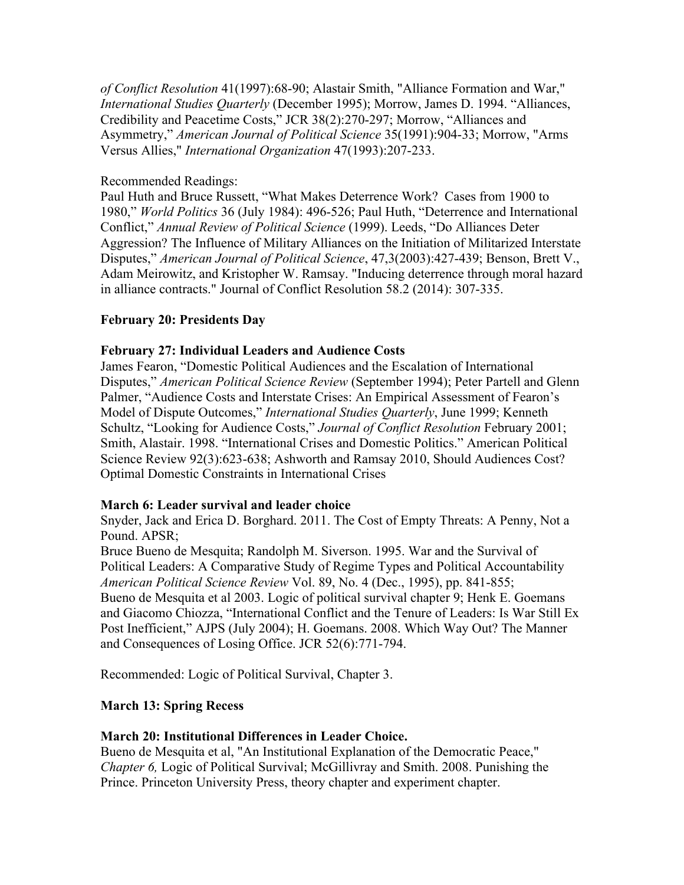*of Conflict Resolution* 41(1997):68-90; Alastair Smith, "Alliance Formation and War," *International Studies Quarterly* (December 1995); Morrow, James D. 1994. "Alliances, Credibility and Peacetime Costs," JCR 38(2):270-297; Morrow, "Alliances and Asymmetry," *American Journal of Political Science* 35(1991):904-33; Morrow, "Arms Versus Allies," *International Organization* 47(1993):207-233.

## Recommended Readings:

Paul Huth and Bruce Russett, "What Makes Deterrence Work? Cases from 1900 to 1980," *World Politics* 36 (July 1984): 496-526; Paul Huth, "Deterrence and International Conflict," *Annual Review of Political Science* (1999). Leeds, "Do Alliances Deter Aggression? The Influence of Military Alliances on the Initiation of Militarized Interstate Disputes," *American Journal of Political Science*, 47,3(2003):427-439; Benson, Brett V., Adam Meirowitz, and Kristopher W. Ramsay. "Inducing deterrence through moral hazard in alliance contracts." Journal of Conflict Resolution 58.2 (2014): 307-335.

## **February 20: Presidents Day**

## **February 27: Individual Leaders and Audience Costs**

James Fearon, "Domestic Political Audiences and the Escalation of International Disputes," *American Political Science Review* (September 1994); Peter Partell and Glenn Palmer, "Audience Costs and Interstate Crises: An Empirical Assessment of Fearon's Model of Dispute Outcomes," *International Studies Quarterly*, June 1999; Kenneth Schultz, "Looking for Audience Costs," *Journal of Conflict Resolution* February 2001; Smith, Alastair. 1998. "International Crises and Domestic Politics." American Political Science Review 92(3):623-638; Ashworth and Ramsay 2010, Should Audiences Cost? Optimal Domestic Constraints in International Crises

#### **March 6: Leader survival and leader choice**

Snyder, Jack and Erica D. Borghard. 2011. The Cost of Empty Threats: A Penny, Not a Pound. APSR;

Bruce Bueno de Mesquita; Randolph M. Siverson. 1995. War and the Survival of Political Leaders: A Comparative Study of Regime Types and Political Accountability *American Political Science Review* Vol. 89, No. 4 (Dec., 1995), pp. 841-855; Bueno de Mesquita et al 2003. Logic of political survival chapter 9; Henk E. Goemans and Giacomo Chiozza, "International Conflict and the Tenure of Leaders: Is War Still Ex Post Inefficient," AJPS (July 2004); H. Goemans. 2008. Which Way Out? The Manner and Consequences of Losing Office. JCR 52(6):771-794.

Recommended: Logic of Political Survival, Chapter 3.

## **March 13: Spring Recess**

#### **March 20: Institutional Differences in Leader Choice.**

Bueno de Mesquita et al, "An Institutional Explanation of the Democratic Peace," *Chapter 6,* Logic of Political Survival; McGillivray and Smith. 2008. Punishing the Prince. Princeton University Press, theory chapter and experiment chapter.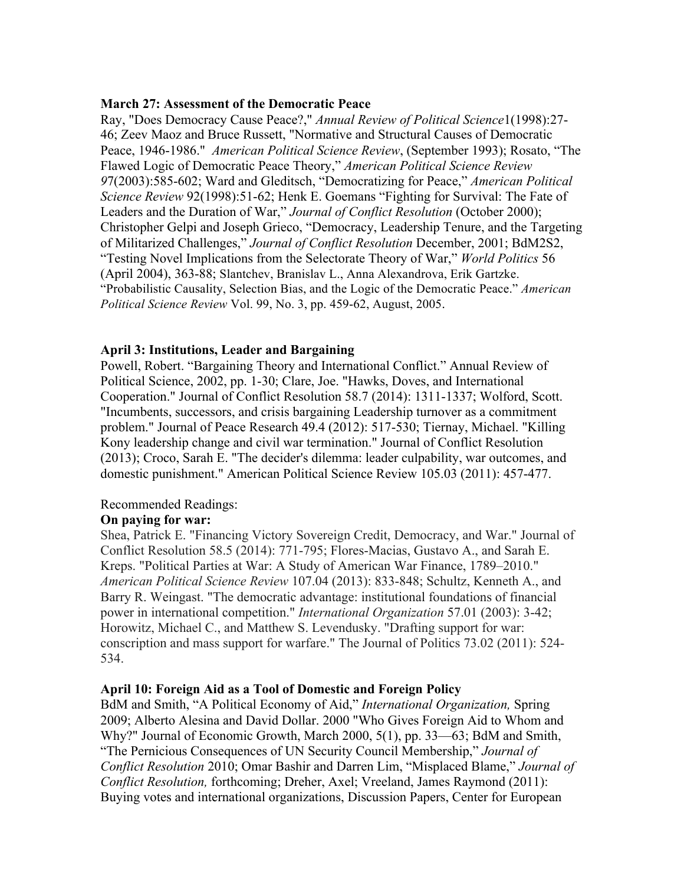#### **March 27: Assessment of the Democratic Peace**

Ray, "Does Democracy Cause Peace?," *Annual Review of Political Science*1(1998):27- 46; Zeev Maoz and Bruce Russett, "Normative and Structural Causes of Democratic Peace, 1946-1986." *American Political Science Review*, (September 1993); Rosato, "The Flawed Logic of Democratic Peace Theory," *American Political Science Review 9*7(2003):585-602; Ward and Gleditsch, "Democratizing for Peace," *American Political Science Review* 92(1998):51-62; Henk E. Goemans "Fighting for Survival: The Fate of Leaders and the Duration of War," *Journal of Conflict Resolution* (October 2000); Christopher Gelpi and Joseph Grieco, "Democracy, Leadership Tenure, and the Targeting of Militarized Challenges," *Journal of Conflict Resolution* December, 2001; BdM2S2, "Testing Novel Implications from the Selectorate Theory of War," *World Politics* 56 (April 2004), 363-88; Slantchev, Branislav L., Anna Alexandrova, Erik Gartzke. "Probabilistic Causality, Selection Bias, and the Logic of the Democratic Peace." *American Political Science Review* Vol. 99, No. 3, pp. 459-62, August, 2005.

#### **April 3: Institutions, Leader and Bargaining**

Powell, Robert. "Bargaining Theory and International Conflict." Annual Review of Political Science, 2002, pp. 1-30; Clare, Joe. "Hawks, Doves, and International Cooperation." Journal of Conflict Resolution 58.7 (2014): 1311-1337; Wolford, Scott. "Incumbents, successors, and crisis bargaining Leadership turnover as a commitment problem." Journal of Peace Research 49.4 (2012): 517-530; Tiernay, Michael. "Killing Kony leadership change and civil war termination." Journal of Conflict Resolution (2013); Croco, Sarah E. "The decider's dilemma: leader culpability, war outcomes, and domestic punishment." American Political Science Review 105.03 (2011): 457-477.

#### Recommended Readings:

#### **On paying for war:**

Shea, Patrick E. "Financing Victory Sovereign Credit, Democracy, and War." Journal of Conflict Resolution 58.5 (2014): 771-795; Flores-Macias, Gustavo A., and Sarah E. Kreps. "Political Parties at War: A Study of American War Finance, 1789–2010." *American Political Science Review* 107.04 (2013): 833-848; Schultz, Kenneth A., and Barry R. Weingast. "The democratic advantage: institutional foundations of financial power in international competition." *International Organization* 57.01 (2003): 3-42; Horowitz, Michael C., and Matthew S. Levendusky. "Drafting support for war: conscription and mass support for warfare." The Journal of Politics 73.02 (2011): 524- 534.

#### **April 10: Foreign Aid as a Tool of Domestic and Foreign Policy**

BdM and Smith, "A Political Economy of Aid," *International Organization,* Spring 2009; Alberto Alesina and David Dollar. 2000 "Who Gives Foreign Aid to Whom and Why?" Journal of Economic Growth, March 2000, 5(1), pp. 33—63; BdM and Smith, "The Pernicious Consequences of UN Security Council Membership," *Journal of Conflict Resolution* 2010; Omar Bashir and Darren Lim, "Misplaced Blame," *Journal of Conflict Resolution, forthcoming; Dreher, Axel; Vreeland, James Raymond (2011):* Buying votes and international organizations, Discussion Papers, Center for European